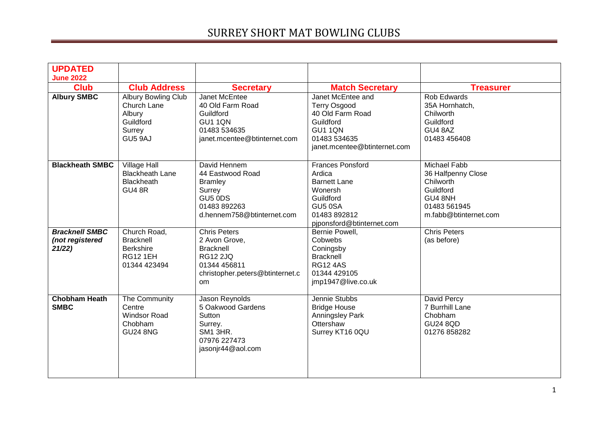| <b>UPDATED</b><br><b>June 2022</b>                 |                                                                                         |                                                                                                                                      |                                                                                                                                             |                                                                                                                  |
|----------------------------------------------------|-----------------------------------------------------------------------------------------|--------------------------------------------------------------------------------------------------------------------------------------|---------------------------------------------------------------------------------------------------------------------------------------------|------------------------------------------------------------------------------------------------------------------|
| <b>Club</b>                                        | <b>Club Address</b>                                                                     | <b>Secretary</b>                                                                                                                     | <b>Match Secretary</b>                                                                                                                      | <b>Treasurer</b>                                                                                                 |
| <b>Albury SMBC</b>                                 | <b>Albury Bowling Club</b><br>Church Lane<br>Albury<br>Guildford<br>Surrey<br>GU5 9AJ   | Janet McEntee<br>40 Old Farm Road<br>Guildford<br>GU1 1QN<br>01483 534635<br>janet.mcentee@btinternet.com                            | Janet McEntee and<br><b>Terry Osgood</b><br>40 Old Farm Road<br>Guildford<br><b>GU1 1QN</b><br>01483 534635<br>janet.mcentee@btinternet.com | <b>Rob Edwards</b><br>35A Hornhatch,<br>Chilworth<br>Guildford<br>GU4 8AZ<br>01483 456408                        |
| <b>Blackheath SMBC</b>                             | <b>Village Hall</b><br><b>Blackheath Lane</b><br><b>Blackheath</b><br><b>GU4 8R</b>     | David Hennem<br>44 Eastwood Road<br><b>Bramley</b><br>Surrey<br>GU5 0DS<br>01483 892263<br>d.hennem758@btinternet.com                | <b>Frances Ponsford</b><br>Ardica<br><b>Barnett Lane</b><br>Wonersh<br>Guildford<br>GU5 0SA<br>01483 892812<br>pjponsford@btinternet.com    | Michael Fabb<br>36 Halfpenny Close<br>Chilworth<br>Guildford<br>GU4 8NH<br>01483 561945<br>m.fabb@btinternet.com |
| <b>Bracknell SMBC</b><br>(not registered<br>21/22) | Church Road,<br><b>Bracknell</b><br><b>Berkshire</b><br><b>RG12 1EH</b><br>01344 423494 | <b>Chris Peters</b><br>2 Avon Grove,<br><b>Bracknell</b><br><b>RG12 2JQ</b><br>01344 456811<br>christopher.peters@btinternet.c<br>om | Bernie Powell,<br>Cobwebs<br>Coningsby<br><b>Bracknell</b><br><b>RG124AS</b><br>01344 429105<br>jmp1947@live.co.uk                          | <b>Chris Peters</b><br>(as before)                                                                               |
| <b>Chobham Heath</b><br><b>SMBC</b>                | The Community<br>Centre<br><b>Windsor Road</b><br>Chobham<br><b>GU24 8NG</b>            | Jason Reynolds<br>5 Oakwood Gardens<br>Sutton<br>Surrey.<br>SM1 3HR.<br>07976 227473<br>jasonjr44@aol.com                            | Jennie Stubbs<br><b>Bridge House</b><br><b>Anningsley Park</b><br>Ottershaw<br>Surrey KT16 0QU                                              | David Percy<br>7 Burrhill Lane<br>Chobham<br><b>GU24 8QD</b><br>01276 858282                                     |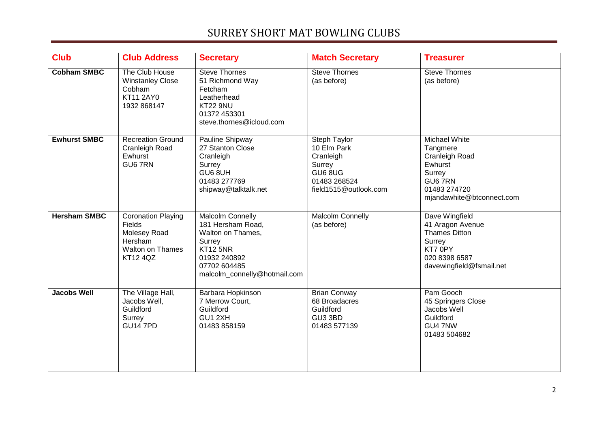| <b>Club</b>         | <b>Club Address</b>                                                                                          | <b>Secretary</b>                                                                                                                                        | <b>Match Secretary</b>                                                                                 | <b>Treasurer</b>                                                                                                             |
|---------------------|--------------------------------------------------------------------------------------------------------------|---------------------------------------------------------------------------------------------------------------------------------------------------------|--------------------------------------------------------------------------------------------------------|------------------------------------------------------------------------------------------------------------------------------|
| <b>Cobham SMBC</b>  | The Club House<br><b>Winstanley Close</b><br>Cobham<br><b>KT11 2AY0</b><br>1932 868147                       | Steve Thornes<br>51 Richmond Way<br>Fetcham<br>Leatherhead<br><b>KT22 9NU</b><br>01372 453301<br>steve.thornes@icloud.com                               | <b>Steve Thornes</b><br>(as before)                                                                    | <b>Steve Thornes</b><br>(as before)                                                                                          |
| <b>Ewhurst SMBC</b> | <b>Recreation Ground</b><br>Cranleigh Road<br>Ewhurst<br>GU67RN                                              | Pauline Shipway<br>27 Stanton Close<br>Cranleigh<br>Surrey<br>GU6 8UH<br>01483 277769<br>shipway@talktalk.net                                           | Steph Taylor<br>10 Elm Park<br>Cranleigh<br>Surrey<br>GU6 8UG<br>01483 268524<br>field1515@outlook.com | Michael White<br>Tangmere<br>Cranleigh Road<br>Ewhurst<br>Surrey<br>GU6 7RN<br>01483 274720<br>mjandawhite@btconnect.com     |
| <b>Hersham SMBC</b> | <b>Coronation Playing</b><br>Fields<br>Molesey Road<br>Hersham<br><b>Walton on Thames</b><br><b>KT12 4QZ</b> | Malcolm Connelly<br>181 Hersham Road,<br>Walton on Thames,<br>Surrey<br><b>KT12 5NR</b><br>01932 240892<br>07702 604485<br>malcolm_connelly@hotmail.com | Malcolm Connelly<br>(as before)                                                                        | Dave Wingfield<br>41 Aragon Avenue<br><b>Thames Ditton</b><br>Surrey<br>KT7 0PY<br>020 8398 6587<br>davewingfield@fsmail.net |
| <b>Jacobs Well</b>  | The Village Hall,<br>Jacobs Well,<br>Guildford<br>Surrey<br><b>GU14 7PD</b>                                  | Barbara Hopkinson<br>7 Merrow Court,<br>Guildford<br>GU1 2XH<br>01483 858159                                                                            | <b>Brian Conway</b><br>68 Broadacres<br>Guildford<br>GU3 3BD<br>01483 577139                           | Pam Gooch<br>45 Springers Close<br>Jacobs Well<br>Guildford<br>GU4 7NW<br>01483 504682                                       |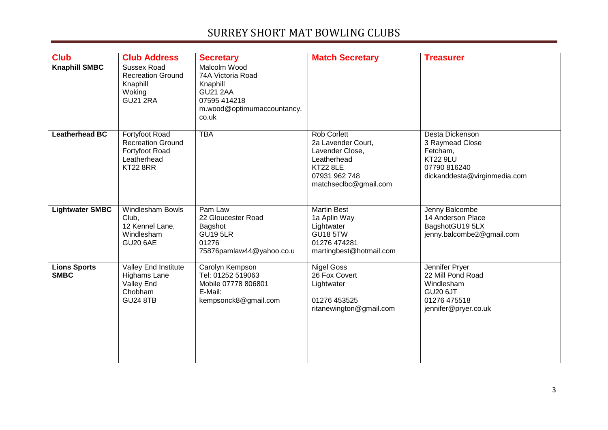| <b>Club</b>                        | <b>Club Address</b>                                                                            | <b>Secretary</b>                                                                                                        | <b>Match Secretary</b>                                                                                                           | <b>Treasurer</b>                                                                                                  |
|------------------------------------|------------------------------------------------------------------------------------------------|-------------------------------------------------------------------------------------------------------------------------|----------------------------------------------------------------------------------------------------------------------------------|-------------------------------------------------------------------------------------------------------------------|
| <b>Knaphill SMBC</b>               | Sussex Road<br><b>Recreation Ground</b><br>Knaphill<br>Woking<br><b>GU21 2RA</b>               | Malcolm Wood<br>74A Victoria Road<br>Knaphill<br><b>GU21 2AA</b><br>07595 414218<br>m.wood@optimumaccountancy.<br>co.uk |                                                                                                                                  |                                                                                                                   |
| <b>Leatherhead BC</b>              | Fortyfoot Road<br><b>Recreation Ground</b><br>Fortyfoot Road<br>Leatherhead<br><b>KT22 8RR</b> | <b>TBA</b>                                                                                                              | Rob Corlett<br>2a Lavender Court,<br>Lavender Close,<br>Leatherhead<br><b>KT22 8LE</b><br>07931 962 748<br>matchseclbc@gmail.com | Desta Dickenson<br>3 Raymead Close<br>Fetcham,<br><b>KT22 9LU</b><br>07790 816240<br>dickanddesta@virginmedia.com |
| <b>Lightwater SMBC</b>             | Windlesham Bowls<br>Club,<br>12 Kennel Lane,<br>Windlesham<br><b>GU20 6AE</b>                  | Pam Law<br>22 Gloucester Road<br>Bagshot<br><b>GU19 5LR</b><br>01276<br>75876pamlaw44@yahoo.co.u                        | <b>Martin Best</b><br>1a Aplin Way<br>Lightwater<br><b>GU18 5TW</b><br>01276 474281<br>martingbest@hotmail.com                   | Jenny Balcombe<br>14 Anderson Place<br>BagshotGU19 5LX<br>jenny.balcombe2@gmail.com                               |
| <b>Lions Sports</b><br><b>SMBC</b> | Valley End Institute<br><b>Highams Lane</b><br>Valley End<br>Chobham<br><b>GU24 8TB</b>        | Carolyn Kempson<br>Tel: 01252 519063<br>Mobile 07778 806801<br>E-Mail:<br>kempsonck8@gmail.com                          | <b>Nigel Goss</b><br>26 Fox Covert<br>Lightwater<br>01276 453525<br>ritanewington@gmail.com                                      | Jennifer Pryer<br>22 Mill Pond Road<br>Windlesham<br><b>GU20 6JT</b><br>01276 475518<br>jennifer@pryer.co.uk      |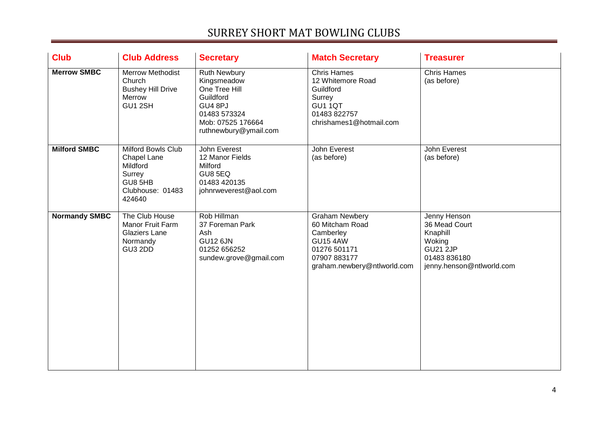| <b>Club</b>          | <b>Club Address</b>                                                                              | <b>Secretary</b>                                                                                                                          | <b>Match Secretary</b>                                                                                                                  | <b>Treasurer</b>                                                                                                    |
|----------------------|--------------------------------------------------------------------------------------------------|-------------------------------------------------------------------------------------------------------------------------------------------|-----------------------------------------------------------------------------------------------------------------------------------------|---------------------------------------------------------------------------------------------------------------------|
| <b>Merrow SMBC</b>   | <b>Merrow Methodist</b><br>Church<br><b>Bushey Hill Drive</b><br>Merrow<br>GU1 2SH               | <b>Ruth Newbury</b><br>Kingsmeadow<br>One Tree Hill<br>Guildford<br>GU4 8PJ<br>01483 573324<br>Mob: 07525 176664<br>ruthnewbury@ymail.com | <b>Chris Hames</b><br>12 Whitemore Road<br>Guildford<br>Surrey<br>GU1 1QT<br>01483 822757<br>chrishames1@hotmail.com                    | <b>Chris Hames</b><br>(as before)                                                                                   |
| <b>Milford SMBC</b>  | Milford Bowls Club<br>Chapel Lane<br>Mildford<br>Surrey<br>GU8 5HB<br>Clubhouse: 01483<br>424640 | John Everest<br>12 Manor Fields<br>Milford<br>GU8 5EQ<br>01483 420135<br>johnrweverest@aol.com                                            | John Everest<br>(as before)                                                                                                             | John Everest<br>(as before)                                                                                         |
| <b>Normandy SMBC</b> | The Club House<br>Manor Fruit Farm<br>Glaziers Lane<br>Normandy<br>GU3 2DD                       | Rob Hillman<br>37 Foreman Park<br>Ash<br><b>GU12 6JN</b><br>01252 656252<br>sundew.grove@gmail.com                                        | <b>Graham Newbery</b><br>60 Mitcham Road<br>Camberley<br><b>GU15 4AW</b><br>01276 501171<br>07907 883177<br>graham.newbery@ntlworld.com | Jenny Henson<br>36 Mead Court<br>Knaphill<br>Woking<br><b>GU21 2JP</b><br>01483 836180<br>jenny.henson@ntlworld.com |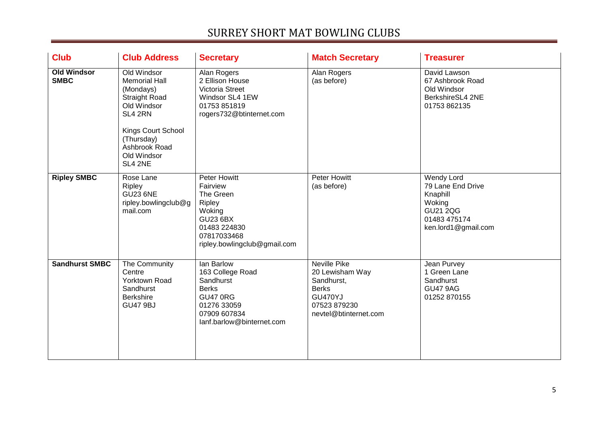| <b>Club</b>                       | <b>Club Address</b>                                                                                                                                                               | <b>Secretary</b>                                                                                                                            | <b>Match Secretary</b>                                                                                                          | <b>Treasurer</b>                                                                                                |
|-----------------------------------|-----------------------------------------------------------------------------------------------------------------------------------------------------------------------------------|---------------------------------------------------------------------------------------------------------------------------------------------|---------------------------------------------------------------------------------------------------------------------------------|-----------------------------------------------------------------------------------------------------------------|
| <b>Old Windsor</b><br><b>SMBC</b> | Old Windsor<br><b>Memorial Hall</b><br>(Mondays)<br><b>Straight Road</b><br>Old Windsor<br>SL4 2RN<br>Kings Court School<br>(Thursday)<br>Ashbrook Road<br>Old Windsor<br>SL4 2NE | Alan Rogers<br>2 Ellison House<br>Victoria Street<br>Windsor SL4 1EW<br>01753 851819<br>rogers732@btinternet.com                            | Alan Rogers<br>(as before)                                                                                                      | David Lawson<br>67 Ashbrook Road<br>Old Windsor<br>BerkshireSL4 2NE<br>01753 862135                             |
| <b>Ripley SMBC</b>                | Rose Lane<br>Ripley<br><b>GU23 6NE</b><br>ripley.bowlingclub@g<br>mail.com                                                                                                        | Peter Howitt<br>Fairview<br>The Green<br>Ripley<br>Woking<br><b>GU23 6BX</b><br>01483 224830<br>07817033468<br>ripley.bowlingclub@gmail.com | <b>Peter Howitt</b><br>(as before)                                                                                              | Wendy Lord<br>79 Lane End Drive<br>Knaphill<br>Woking<br><b>GU21 2QG</b><br>01483 475174<br>ken.lord1@gmail.com |
| <b>Sandhurst SMBC</b>             | The Community<br>Centre<br>Yorktown Road<br>Sandhurst<br><b>Berkshire</b><br><b>GU47 9BJ</b>                                                                                      | lan Barlow<br>163 College Road<br>Sandhurst<br><b>Berks</b><br><b>GU47 0RG</b><br>01276 33059<br>07909 607834<br>lanf.barlow@binternet.com  | <b>Neville Pike</b><br>20 Lewisham Way<br>Sandhurst,<br><b>Berks</b><br><b>GU470YJ</b><br>07523 879230<br>nevtel@btinternet.com | Jean Purvey<br>1 Green Lane<br>Sandhurst<br><b>GU47 9AG</b><br>01252 870155                                     |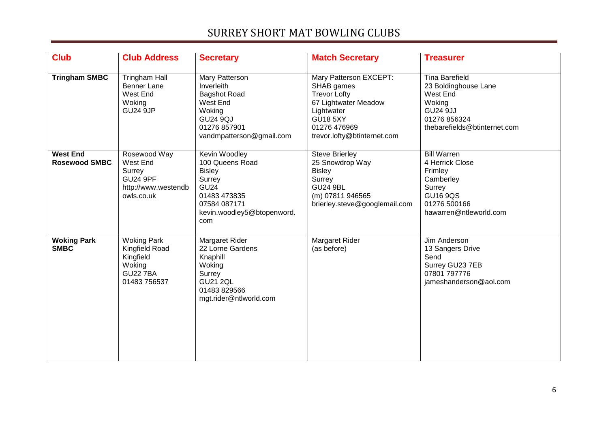| <b>Club</b>                             | <b>Club Address</b>                                                                            | <b>Secretary</b>                                                                                                                                | <b>Match Secretary</b>                                                                                                                                              | <b>Treasurer</b>                                                                                                                       |
|-----------------------------------------|------------------------------------------------------------------------------------------------|-------------------------------------------------------------------------------------------------------------------------------------------------|---------------------------------------------------------------------------------------------------------------------------------------------------------------------|----------------------------------------------------------------------------------------------------------------------------------------|
| <b>Tringham SMBC</b>                    | <b>Tringham Hall</b><br><b>Benner Lane</b><br>West End<br>Woking<br><b>GU24 9JP</b>            | Mary Patterson<br>Inverleith<br><b>Bagshot Road</b><br>West End<br>Woking<br><b>GU24 9QJ</b><br>01276 857901<br>vandmpatterson@gmail.com        | Mary Patterson EXCEPT:<br>SHAB games<br><b>Trevor Lofty</b><br>67 Lightwater Meadow<br>Lightwater<br><b>GU18 5XY</b><br>01276 476969<br>trevor.lofty@btinternet.com | <b>Tina Barefield</b><br>23 Boldinghouse Lane<br>West End<br>Woking<br><b>GU24 9JJ</b><br>01276 856324<br>thebarefields@btinternet.com |
| <b>West End</b><br><b>Rosewood SMBC</b> | Rosewood Way<br>West End<br>Surrey<br><b>GU24 9PF</b><br>http://www.westendb<br>owls.co.uk     | Kevin Woodley<br>100 Queens Road<br><b>Bisley</b><br>Surrey<br><b>GU24</b><br>01483 473835<br>07584 087171<br>kevin.woodley5@btopenword.<br>com | <b>Steve Brierley</b><br>25 Snowdrop Way<br><b>Bisley</b><br>Surrey<br><b>GU24 9BL</b><br>(m) 07811 946565<br>brierley.steve@googlemail.com                         | <b>Bill Warren</b><br>4 Herrick Close<br>Frimley<br>Camberley<br>Surrey<br><b>GU16 9QS</b><br>01276 500166<br>hawarren@ntleworld.com   |
| <b>Woking Park</b><br><b>SMBC</b>       | <b>Woking Park</b><br>Kingfield Road<br>Kingfield<br>Woking<br><b>GU22 7BA</b><br>01483 756537 | Margaret Rider<br>22 Lorne Gardens<br>Knaphill<br>Woking<br>Surrey<br><b>GU21 2QL</b><br>01483 829566<br>mgt.rider@ntlworld.com                 | Margaret Rider<br>(as before)                                                                                                                                       | Jim Anderson<br>13 Sangers Drive<br>Send<br>Surrey GU23 7EB<br>07801 797776<br>jameshanderson@aol.com                                  |